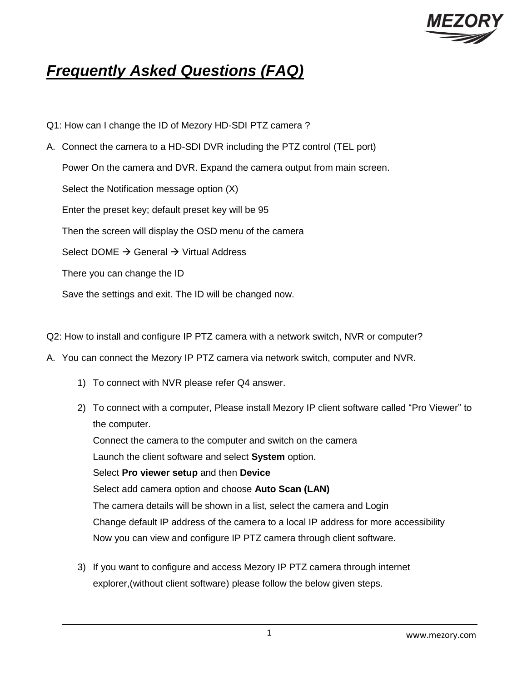

# *Frequently Asked Questions (FAQ)*

- Q1: How can I change the ID of Mezory HD-SDI PTZ camera ?
- A. Connect the camera to a HD-SDI DVR including the PTZ control (TEL port) Power On the camera and DVR. Expand the camera output from main screen. Select the Notification message option (X) Enter the preset key; default preset key will be 95 Then the screen will display the OSD menu of the camera Select DOME  $\rightarrow$  General  $\rightarrow$  Virtual Address There you can change the ID Save the settings and exit. The ID will be changed now.
- Q2: How to install and configure IP PTZ camera with a network switch, NVR or computer?
- A. You can connect the Mezory IP PTZ camera via network switch, computer and NVR.
	- 1) To connect with NVR please refer Q4 answer.
	- 2) To connect with a computer, Please install Mezory IP client software called "Pro Viewer" to the computer. Connect the camera to the computer and switch on the camera Launch the client software and select **System** option. Select **Pro viewer setup** and then **Device** Select add camera option and choose **Auto Scan (LAN)**  The camera details will be shown in a list, select the camera and Login Change default IP address of the camera to a local IP address for more accessibility Now you can view and configure IP PTZ camera through client software.
	- 3) If you want to configure and access Mezory IP PTZ camera through internet explorer,(without client software) please follow the below given steps.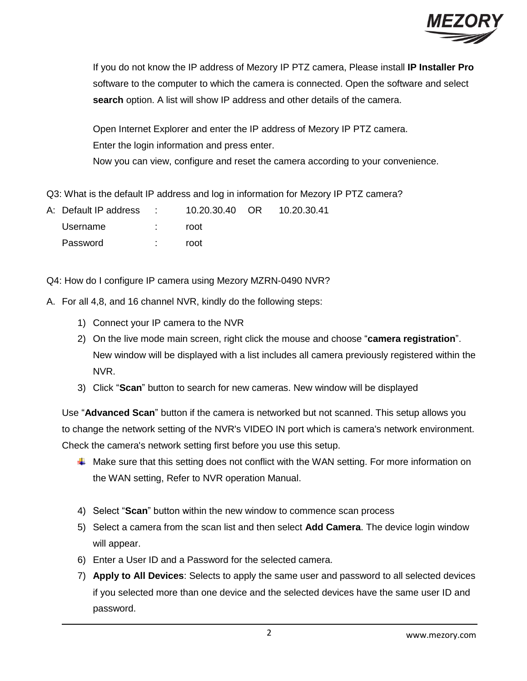

If you do not know the IP address of Mezory IP PTZ camera, Please install **IP Installer Pro** software to the computer to which the camera is connected. Open the software and select **search** option. A list will show IP address and other details of the camera.

Open Internet Explorer and enter the IP address of Mezory IP PTZ camera. Enter the login information and press enter.

Now you can view, configure and reset the camera according to your convenience.

Q3: What is the default IP address and log in information for Mezory IP PTZ camera?

| A: Default IP address : | 10.20.30.40 OR 10.20.30.41 |  |
|-------------------------|----------------------------|--|
| Username                | root                       |  |
| Password                | root                       |  |

Q4: How do I configure IP camera using Mezory MZRN-0490 NVR?

- A. For all 4,8, and 16 channel NVR, kindly do the following steps:
	- 1) Connect your IP camera to the NVR
	- 2) On the live mode main screen, right click the mouse and choose "**camera registration**". New window will be displayed with a list includes all camera previously registered within the NVR.
	- 3) Click "**Scan**" button to search for new cameras. New window will be displayed

Use "**Advanced Scan**" button if the camera is networked but not scanned. This setup allows you to change the network setting of the NVR's VIDEO IN port which is camera's network environment. Check the camera's network setting first before you use this setup.

- A Make sure that this setting does not conflict with the WAN setting. For more information on the WAN setting, Refer to NVR operation Manual.
- 4) Select "**Scan**" button within the new window to commence scan process
- 5) Select a camera from the scan list and then select **Add Camera**. The device login window will appear.
- 6) Enter a User ID and a Password for the selected camera.
- 7) **Apply to All Devices**: Selects to apply the same user and password to all selected devices if you selected more than one device and the selected devices have the same user ID and password.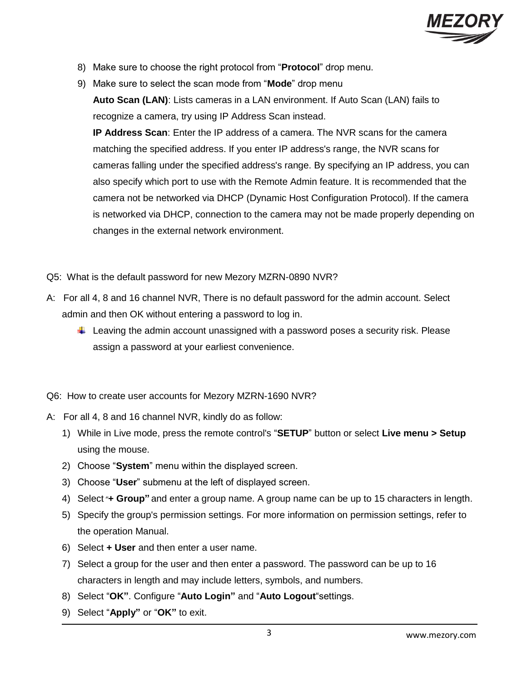

- 8) Make sure to choose the right protocol from "**Protocol**" drop menu.
- 9) Make sure to select the scan mode from "**Mode**" drop menu **Auto Scan (LAN)**: Lists cameras in a LAN environment. If Auto Scan (LAN) fails to recognize a camera, try using IP Address Scan instead.

**IP Address Scan**: Enter the IP address of a camera. The NVR scans for the camera matching the specified address. If you enter IP address's range, the NVR scans for cameras falling under the specified address's range. By specifying an IP address, you can also specify which port to use with the Remote Admin feature. It is recommended that the camera not be networked via DHCP (Dynamic Host Configuration Protocol). If the camera is networked via DHCP, connection to the camera may not be made properly depending on changes in the external network environment.

- Q5: What is the default password for new Mezory MZRN-0890 NVR?
- A: For all 4, 8 and 16 channel NVR, There is no default password for the admin account. Select admin and then OK without entering a password to log in.
	- $\ddot{\phantom{1}}$  Leaving the admin account unassigned with a password poses a security risk. Please assign a password at your earliest convenience.

Q6: How to create user accounts for Mezory MZRN-1690 NVR?

- A: For all 4, 8 and 16 channel NVR, kindly do as follow:
	- 1) While in Live mode, press the remote control's "**SETUP**" button or select **Live menu > Setup** using the mouse.
	- 2) Choose "**System**" menu within the displayed screen.
	- 3) Choose "**User**" submenu at the left of displayed screen.
	- 4) Select **+ Group"** and enter a group name. A group name can be up to 15 characters in length.
	- 5) Specify the group's permission settings. For more information on permission settings, refer to the operation Manual.
	- 6) Select **+ User** and then enter a user name.
	- 7) Select a group for the user and then enter a password. The password can be up to 16 characters in length and may include letters, symbols, and numbers.
	- 8) Select "**OK"**. Configure "**Auto Login"** and "**Auto Logout**"settings.
	- 9) Select "**Apply"** or "**OK"** to exit.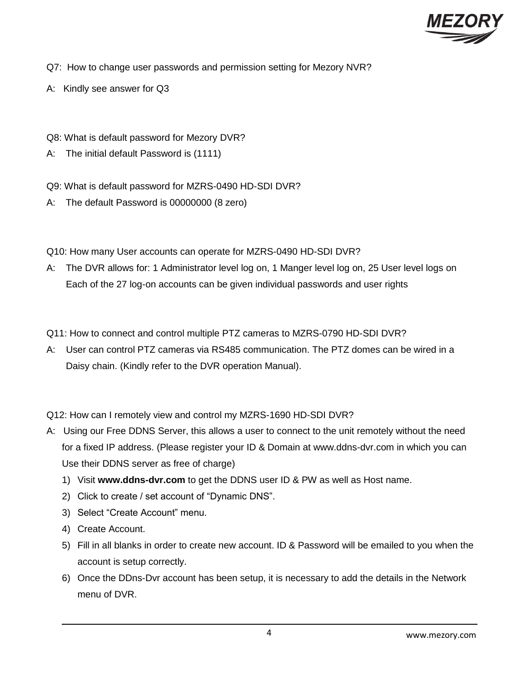

- Q7: How to change user passwords and permission setting for Mezory NVR?
- A: Kindly see answer for Q3
- Q8: What is default password for Mezory DVR?
- A: The initial default Password is (1111)
- Q9: What is default password for MZRS-0490 HD-SDI DVR?
- A: The default Password is 00000000 (8 zero)
- Q10: How many User accounts can operate for MZRS-0490 HD-SDI DVR?
- A: The DVR allows for: 1 Administrator level log on, 1 Manger level log on, 25 User level logs on Each of the 27 log-on accounts can be given individual passwords and user rights
- Q11: How to connect and control multiple PTZ cameras to MZRS-0790 HD-SDI DVR?
- A: User can control PTZ cameras via RS485 communication. The PTZ domes can be wired in a Daisy chain. (Kindly refer to the DVR operation Manual).

Q12: How can I remotely view and control my MZRS-1690 HD-SDI DVR?

- A: Using our Free DDNS Server, this allows a user to connect to the unit remotely without the need for a fixed IP address. (Please register your ID & Domain at www.ddns-dvr.com in which you can Use their DDNS server as free of charge)
	- 1) Visit **www.ddns-dvr.com** to get the DDNS user ID & PW as well as Host name.
	- 2) Click to create / set account of "Dynamic DNS".
	- 3) Select "Create Account" menu.
	- 4) Create Account.
	- 5) Fill in all blanks in order to create new account. ID & Password will be emailed to you when the account is setup correctly.
	- 6) Once the DDns-Dvr account has been setup, it is necessary to add the details in the Network menu of DVR.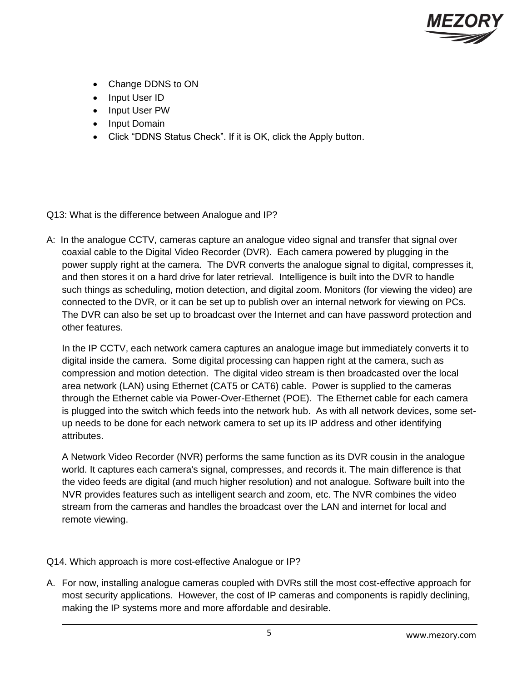

- Change DDNS to ON
- Input User ID
- Input User PW
- Input Domain
- Click "DDNS Status Check". If it is OK, click the Apply button.

Q13: What is the difference between Analogue and IP?

A: In the analogue CCTV, cameras capture an analogue video signal and transfer that signal over coaxial cable to the Digital Video Recorder (DVR). Each camera powered by plugging in the power supply right at the camera. The DVR converts the analogue signal to digital, compresses it, and then stores it on a hard drive for later retrieval. Intelligence is built into the DVR to handle such things as scheduling, motion detection, and digital zoom. Monitors (for viewing the video) are connected to the DVR, or it can be set up to publish over an internal network for viewing on PCs. The DVR can also be set up to broadcast over the Internet and can have password protection and other features.

In the IP CCTV, each network camera captures an analogue image but immediately converts it to digital inside the camera. Some digital processing can happen right at the camera, such as compression and motion detection. The digital video stream is then broadcasted over the local area network (LAN) using Ethernet (CAT5 or CAT6) cable. Power is supplied to the cameras through the Ethernet cable via Power-Over-Ethernet (POE). The Ethernet cable for each camera is plugged into the switch which feeds into the network hub. As with all network devices, some setup needs to be done for each network camera to set up its IP address and other identifying attributes.

A Network Video Recorder (NVR) performs the same function as its DVR cousin in the analogue world. It captures each camera's signal, compresses, and records it. The main difference is that the video feeds are digital (and much higher resolution) and not analogue. Software built into the NVR provides features such as intelligent search and zoom, etc. The NVR combines the video stream from the cameras and handles the broadcast over the LAN and internet for local and remote viewing.

- Q14. Which approach is more cost-effective Analogue or IP?
- A. For now, installing analogue cameras coupled with DVRs still the most cost-effective approach for most security applications. However, the cost of IP cameras and components is rapidly declining, making the IP systems more and more affordable and desirable.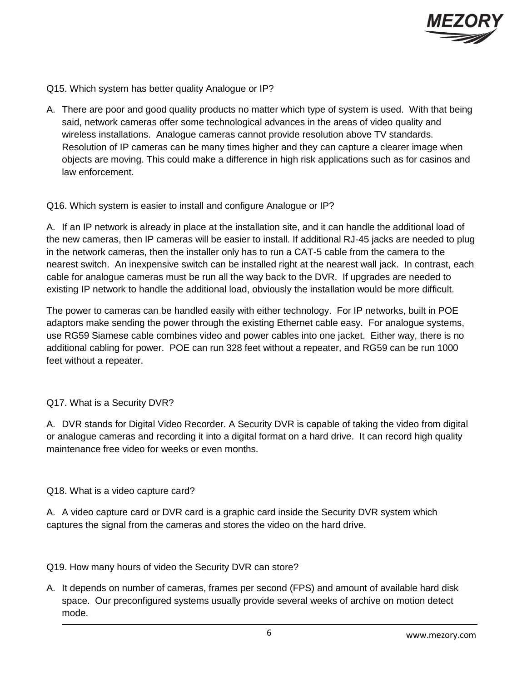

Q15. Which system has better quality Analogue or IP?

A. There are poor and good quality products no matter which type of system is used. With that being said, network cameras offer some technological advances in the areas of video quality and wireless installations. Analogue cameras cannot provide resolution above TV standards. Resolution of IP cameras can be many times higher and they can capture a clearer image when objects are moving. This could make a difference in high risk applications such as for casinos and law enforcement.

# Q16. Which system is easier to install and configure Analogue or IP?

A. If an IP network is already in place at the installation site, and it can handle the additional load of the new cameras, then IP cameras will be easier to install. If additional RJ-45 jacks are needed to plug in the network cameras, then the installer only has to run a CAT-5 cable from the camera to the nearest switch. An inexpensive switch can be installed right at the nearest wall jack. In contrast, each cable for analogue cameras must be run all the way back to the DVR. If upgrades are needed to existing IP network to handle the additional load, obviously the installation would be more difficult.

The power to cameras can be handled easily with either technology. For IP networks, built in POE adaptors make sending the power through the existing Ethernet cable easy. For analogue systems, use RG59 Siamese cable combines video and power cables into one jacket. Either way, there is no additional cabling for power. POE can run 328 feet without a repeater, and RG59 can be run 1000 feet without a repeater.

# Q17. What is a Security DVR?

A. DVR stands for Digital Video Recorder. A Security DVR is capable of taking the video from digital or analogue cameras and recording it into a digital format on a hard drive. It can record high quality maintenance free video for weeks or even months.

# Q18. What is a video capture card?

A. A video capture card or DVR card is a graphic card inside the Security DVR system which captures the signal from the cameras and stores the video on the hard drive.

# Q19. How many hours of video the Security DVR can store?

A. It depends on number of cameras, frames per second (FPS) and amount of available hard disk space. Our preconfigured systems usually provide several weeks of archive on motion detect mode.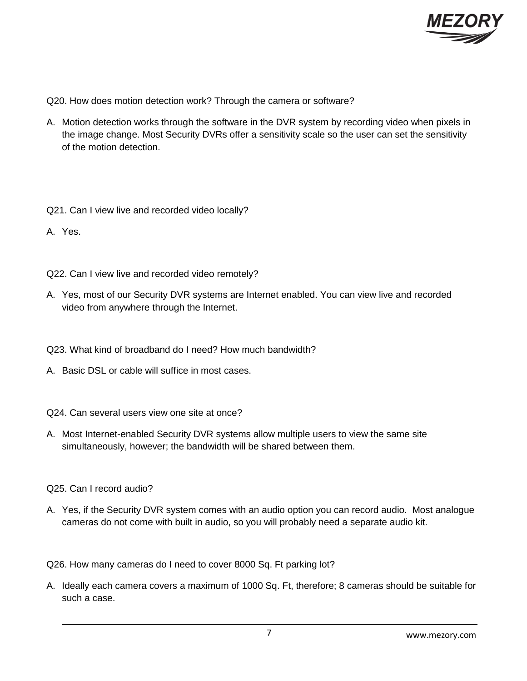

Q20. How does motion detection work? Through the camera or software?

- A. Motion detection works through the software in the DVR system by recording video when pixels in the image change. Most Security DVRs offer a sensitivity scale so the user can set the sensitivity of the motion detection.
- Q21. Can I view live and recorded video locally?
- A. Yes.
- Q22. Can I view live and recorded video remotely?
- A. Yes, most of our Security DVR systems are Internet enabled. You can view live and recorded video from anywhere through the Internet.
- Q23. What kind of broadband do I need? How much bandwidth?
- A. Basic DSL or cable will suffice in most cases.
- Q24. Can several users view one site at once?
- A. Most Internet-enabled Security DVR systems allow multiple users to view the same site simultaneously, however; the bandwidth will be shared between them.
- Q25. Can I record audio?
- A. Yes, if the Security DVR system comes with an audio option you can record audio. Most analogue cameras do not come with built in audio, so you will probably need a separate audio kit.

Q26. How many cameras do I need to cover 8000 Sq. Ft parking lot?

A. Ideally each camera covers a maximum of 1000 Sq. Ft, therefore; 8 cameras should be suitable for such a case.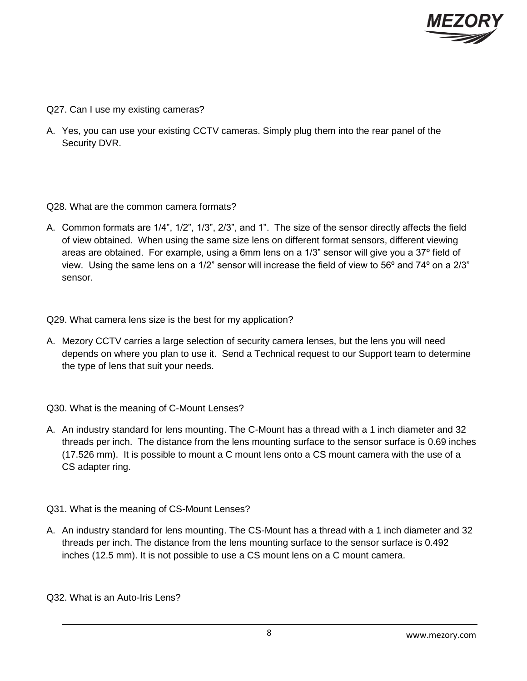

- Q27. Can I use my existing cameras?
- A. Yes, you can use your existing CCTV cameras. Simply plug them into the rear panel of the Security DVR.

#### Q28. What are the common camera formats?

A. Common formats are 1/4", 1/2", 1/3", 2/3", and 1". The size of the sensor directly affects the field of view obtained. When using the same size lens on different format sensors, different viewing areas are obtained. For example, using a 6mm lens on a 1/3" sensor will give you a 37º field of view. Using the same lens on a 1/2" sensor will increase the field of view to 56º and 74º on a 2/3" sensor.

Q29. What camera lens size is the best for my application?

A. Mezory CCTV carries a large selection of security camera lenses, but the lens you will need depends on where you plan to use it. Send a Technical request to our Support team to determine the type of lens that suit your needs.

Q30. What is the meaning of C-Mount Lenses?

A. An industry standard for lens mounting. The C-Mount has a thread with a 1 inch diameter and 32 threads per inch. The distance from the lens mounting surface to the sensor surface is 0.69 inches (17.526 mm). It is possible to mount a C mount lens onto a CS mount camera with the use of a CS adapter ring.

Q31. What is the meaning of CS-Mount Lenses?

A. An industry standard for lens mounting. The CS-Mount has a thread with a 1 inch diameter and 32 threads per inch. The distance from the lens mounting surface to the sensor surface is 0.492 inches (12.5 mm). It is not possible to use a CS mount lens on a C mount camera.

Q32. What is an Auto-Iris Lens?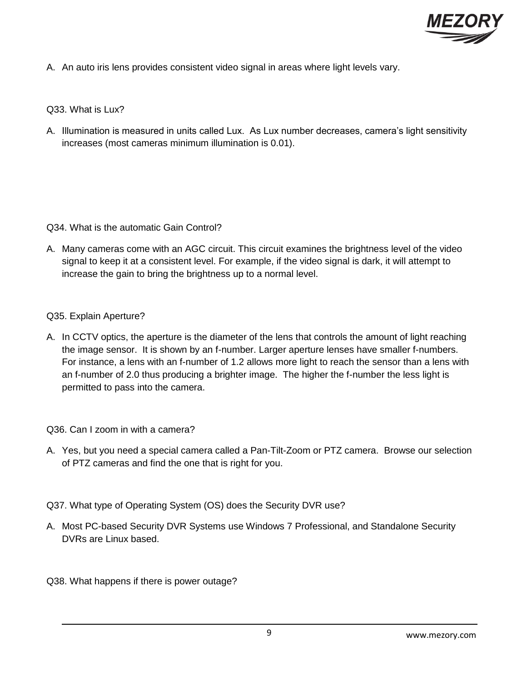

A. An auto iris lens provides consistent video signal in areas where light levels vary.

Q33. What is Lux?

A. Illumination is measured in units called Lux. As Lux number decreases, camera's light sensitivity increases (most cameras minimum illumination is 0.01).

Q34. What is the automatic Gain Control?

A. Many cameras come with an AGC circuit. This circuit examines the brightness level of the video signal to keep it at a consistent level. For example, if the video signal is dark, it will attempt to increase the gain to bring the brightness up to a normal level.

#### Q35. Explain Aperture?

A. In CCTV optics, the aperture is the diameter of the lens that controls the amount of light reaching the image sensor. It is shown by an f-number. Larger aperture lenses have smaller f-numbers. For instance, a lens with an f-number of 1.2 allows more light to reach the sensor than a lens with an f-number of 2.0 thus producing a brighter image. The higher the f-number the less light is permitted to pass into the camera.

Q36. Can I zoom in with a camera?

- A. Yes, but you need a special camera called a Pan-Tilt-Zoom or PTZ camera. Browse our selection of PTZ cameras and find the one that is right for you.
- Q37. What type of Operating System (OS) does the Security DVR use?
- A. Most PC-based Security DVR Systems use Windows 7 Professional, and Standalone Security DVRs are Linux based.

Q38. What happens if there is power outage?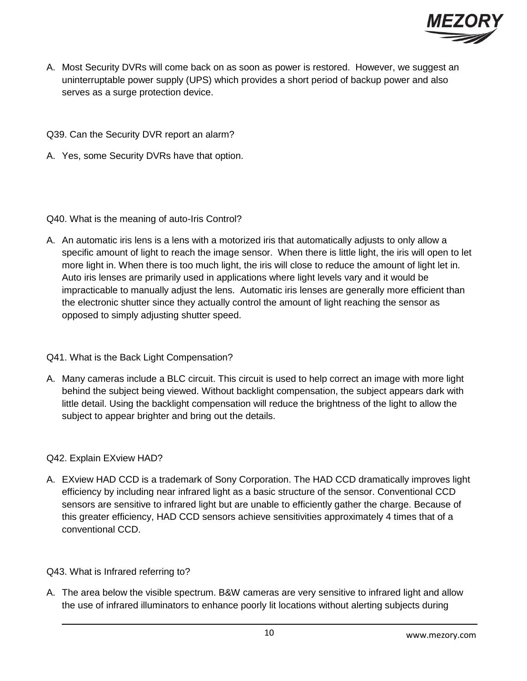

- A. Most Security DVRs will come back on as soon as power is restored. However, we suggest an uninterruptable power supply (UPS) which provides a short period of backup power and also serves as a surge protection device.
- Q39. Can the Security DVR report an alarm?
- A. Yes, some Security DVRs have that option.

# Q40. What is the meaning of auto-Iris Control?

A. An automatic iris lens is a lens with a motorized iris that automatically adjusts to only allow a specific amount of light to reach the image sensor. When there is little light, the iris will open to let more light in. When there is too much light, the iris will close to reduce the amount of light let in. Auto iris lenses are primarily used in applications where light levels vary and it would be impracticable to manually adjust the lens. Automatic iris lenses are generally more efficient than the electronic shutter since they actually control the amount of light reaching the sensor as opposed to simply adjusting shutter speed.

# Q41. What is the Back Light Compensation?

A. Many cameras include a BLC circuit. This circuit is used to help correct an image with more light behind the subject being viewed. Without backlight compensation, the subject appears dark with little detail. Using the backlight compensation will reduce the brightness of the light to allow the subject to appear brighter and bring out the details.

# Q42. Explain EXview HAD?

A. EXview HAD CCD is a trademark of Sony Corporation. The HAD CCD dramatically improves light efficiency by including near infrared light as a basic structure of the sensor. Conventional CCD sensors are sensitive to infrared light but are unable to efficiently gather the charge. Because of this greater efficiency, HAD CCD sensors achieve sensitivities approximately 4 times that of a conventional CCD.

# Q43. What is Infrared referring to?

A. The area below the visible spectrum. B&W cameras are very sensitive to infrared light and allow the use of infrared illuminators to enhance poorly lit locations without alerting subjects during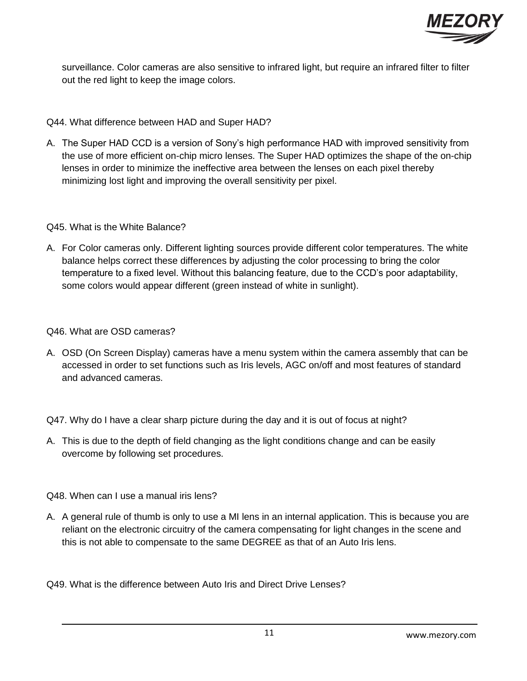

surveillance. Color cameras are also sensitive to infrared light, but require an infrared filter to filter out the red light to keep the image colors.

# Q44. What difference between HAD and Super HAD?

A. The Super HAD CCD is a version of Sony's high performance HAD with improved sensitivity from the use of more efficient on-chip micro lenses. The Super HAD optimizes the shape of the on-chip lenses in order to minimize the ineffective area between the lenses on each pixel thereby minimizing lost light and improving the overall sensitivity per pixel.

# Q45. What is the White Balance?

A. For Color cameras only. Different lighting sources provide different color temperatures. The white balance helps correct these differences by adjusting the color processing to bring the color temperature to a fixed level. Without this balancing feature, due to the CCD's poor adaptability, some colors would appear different (green instead of white in sunlight).

# Q46. What are OSD cameras?

A. OSD (On Screen Display) cameras have a menu system within the camera assembly that can be accessed in order to set functions such as Iris levels, AGC on/off and most features of standard and advanced cameras.

Q47. Why do I have a clear sharp picture during the day and it is out of focus at night?

A. This is due to the depth of field changing as the light conditions change and can be easily overcome by following set procedures.

Q48. When can I use a manual iris lens?

A. A general rule of thumb is only to use a MI lens in an internal application. This is because you are reliant on the electronic circuitry of the camera compensating for light changes in the scene and this is not able to compensate to the same DEGREE as that of an Auto Iris lens.

Q49. What is the difference between Auto Iris and Direct Drive Lenses?